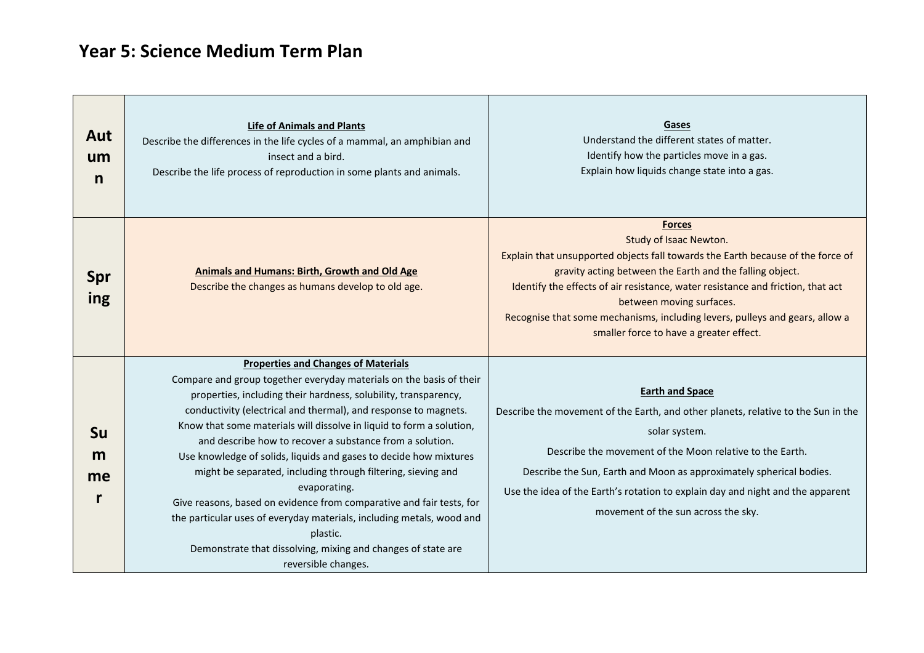## **Year 5: Science Medium Term Plan**

| Aut<br>um<br>n       | <b>Life of Animals and Plants</b><br>Describe the differences in the life cycles of a mammal, an amphibian and<br>insect and a bird.<br>Describe the life process of reproduction in some plants and animals.                                                                                                                                                                                                                                                                                                                                                                                                                                                                                                                                                                                        | Gases<br>Understand the different states of matter.<br>Identify how the particles move in a gas.<br>Explain how liquids change state into a gas.                                                                                                                                                                                                                                                                                 |
|----------------------|------------------------------------------------------------------------------------------------------------------------------------------------------------------------------------------------------------------------------------------------------------------------------------------------------------------------------------------------------------------------------------------------------------------------------------------------------------------------------------------------------------------------------------------------------------------------------------------------------------------------------------------------------------------------------------------------------------------------------------------------------------------------------------------------------|----------------------------------------------------------------------------------------------------------------------------------------------------------------------------------------------------------------------------------------------------------------------------------------------------------------------------------------------------------------------------------------------------------------------------------|
| <b>Spr</b><br>ing    | <b>Animals and Humans: Birth, Growth and Old Age</b><br>Describe the changes as humans develop to old age.                                                                                                                                                                                                                                                                                                                                                                                                                                                                                                                                                                                                                                                                                           | <b>Forces</b><br>Study of Isaac Newton.<br>Explain that unsupported objects fall towards the Earth because of the force of<br>gravity acting between the Earth and the falling object.<br>Identify the effects of air resistance, water resistance and friction, that act<br>between moving surfaces.<br>Recognise that some mechanisms, including levers, pulleys and gears, allow a<br>smaller force to have a greater effect. |
| <b>Su</b><br>m<br>me | <b>Properties and Changes of Materials</b><br>Compare and group together everyday materials on the basis of their<br>properties, including their hardness, solubility, transparency,<br>conductivity (electrical and thermal), and response to magnets.<br>Know that some materials will dissolve in liquid to form a solution,<br>and describe how to recover a substance from a solution.<br>Use knowledge of solids, liquids and gases to decide how mixtures<br>might be separated, including through filtering, sieving and<br>evaporating.<br>Give reasons, based on evidence from comparative and fair tests, for<br>the particular uses of everyday materials, including metals, wood and<br>plastic.<br>Demonstrate that dissolving, mixing and changes of state are<br>reversible changes. | <b>Earth and Space</b><br>Describe the movement of the Earth, and other planets, relative to the Sun in the<br>solar system.<br>Describe the movement of the Moon relative to the Earth.<br>Describe the Sun, Earth and Moon as approximately spherical bodies.<br>Use the idea of the Earth's rotation to explain day and night and the apparent<br>movement of the sun across the sky.                                         |